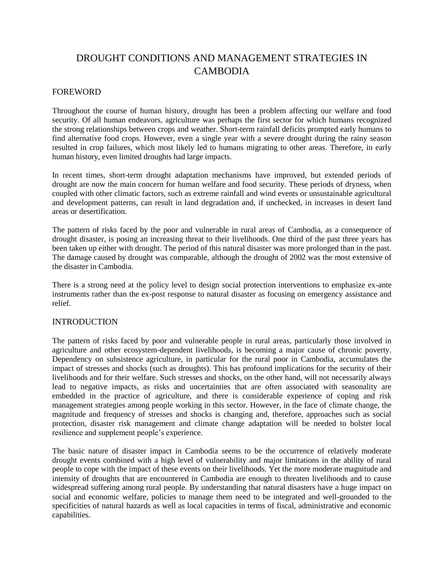# DROUGHT CONDITIONS AND MANAGEMENT STRATEGIES IN CAMBODIA

## FOREWORD

Throughout the course of human history, drought has been a problem affecting our welfare and food security. Of all human endeavors, agriculture was perhaps the first sector for which humans recognized the strong relationships between crops and weather. Short-term rainfall deficits prompted early humans to find alternative food crops. However, even a single year with a severe drought during the rainy season resulted in crop failures, which most likely led to humans migrating to other areas. Therefore, in early human history, even limited droughts had large impacts.

In recent times, short-term drought adaptation mechanisms have improved, but extended periods of drought are now the main concern for human welfare and food security. These periods of dryness, when coupled with other climatic factors, such as extreme rainfall and wind events or unsustainable agricultural and development patterns, can result in land degradation and, if unchecked, in increases in desert land areas or desertification.

The pattern of risks faced by the poor and vulnerable in rural areas of Cambodia, as a consequence of drought disaster, is posing an increasing threat to their livelihoods. One third of the past three years has been taken up either with drought. The period of this natural disaster was more prolonged than in the past. The damage caused by drought was comparable, although the drought of 2002 was the most extensive of the disaster in Cambodia.

There is a strong need at the policy level to design social protection interventions to emphasize ex-ante instruments rather than the ex-post response to natural disaster as focusing on emergency assistance and relief.

## INTRODUCTION

The pattern of risks faced by poor and vulnerable people in rural areas, particularly those involved in agriculture and other ecosystem-dependent livelihoods, is becoming a major cause of chronic poverty. Dependency on subsistence agriculture, in particular for the rural poor in Cambodia, accumulates the impact of stresses and shocks (such as droughts). This has profound implications for the security of their livelihoods and for their welfare. Such stresses and shocks, on the other hand, will not necessarily always lead to negative impacts, as risks and uncertainties that are often associated with seasonality are embedded in the practice of agriculture, and there is considerable experience of coping and risk management strategies among people working in this sector. However, in the face of climate change, the magnitude and frequency of stresses and shocks is changing and, therefore, approaches such as social protection, disaster risk management and climate change adaptation will be needed to bolster local resilience and supplement people's experience.

The basic nature of disaster impact in Cambodia seems to be the occurrence of relatively moderate drought events combined with a high level of vulnerability and major limitations in the ability of rural people to cope with the impact of these events on their livelihoods. Yet the more moderate magnitude and intensity of droughts that are encountered in Cambodia are enough to threaten livelihoods and to cause widespread suffering among rural people. By understanding that natural disasters have a huge impact on social and economic welfare, policies to manage them need to be integrated and well-grounded to the specificities of natural hazards as well as local capacities in terms of fiscal, administrative and economic capabilities.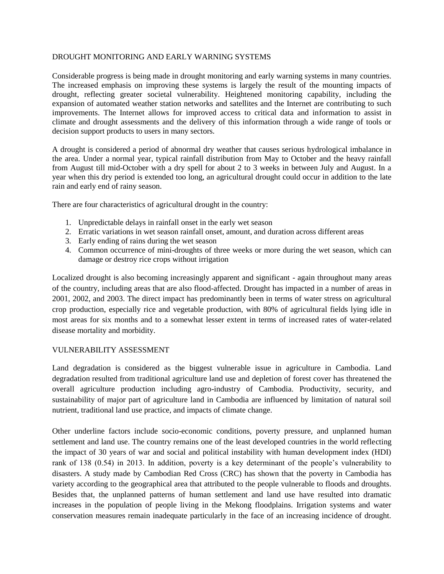#### DROUGHT MONITORING AND EARLY WARNING SYSTEMS

Considerable progress is being made in drought monitoring and early warning systems in many countries. The increased emphasis on improving these systems is largely the result of the mounting impacts of drought, reflecting greater societal vulnerability. Heightened monitoring capability, including the expansion of automated weather station networks and satellites and the Internet are contributing to such improvements. The Internet allows for improved access to critical data and information to assist in climate and drought assessments and the delivery of this information through a wide range of tools or decision support products to users in many sectors.

A drought is considered a period of abnormal dry weather that causes serious hydrological imbalance in the area. Under a normal year, typical rainfall distribution from May to October and the heavy rainfall from August till mid-October with a dry spell for about 2 to 3 weeks in between July and August. In a year when this dry period is extended too long, an agricultural drought could occur in addition to the late rain and early end of rainy season.

There are four characteristics of agricultural drought in the country:

- 1. Unpredictable delays in rainfall onset in the early wet season
- 2. Erratic variations in wet season rainfall onset, amount, and duration across different areas
- 3. Early ending of rains during the wet season
- 4. Common occurrence of mini-droughts of three weeks or more during the wet season, which can damage or destroy rice crops without irrigation

Localized drought is also becoming increasingly apparent and significant - again throughout many areas of the country, including areas that are also flood-affected. Drought has impacted in a number of areas in 2001, 2002, and 2003. The direct impact has predominantly been in terms of water stress on agricultural crop production, especially rice and vegetable production, with 80% of agricultural fields lying idle in most areas for six months and to a somewhat lesser extent in terms of increased rates of water-related disease mortality and morbidity.

### VULNERABILITY ASSESSMENT

Land degradation is considered as the biggest vulnerable issue in agriculture in Cambodia. Land degradation resulted from traditional agriculture land use and depletion of forest cover has threatened the overall agriculture production including agro-industry of Cambodia. Productivity, security, and sustainability of major part of agriculture land in Cambodia are influenced by limitation of natural soil nutrient, traditional land use practice, and impacts of climate change.

Other underline factors include socio-economic conditions, poverty pressure, and unplanned human settlement and land use. The country remains one of the least developed countries in the world reflecting the impact of 30 years of war and social and political instability with human development index (HDI) rank of 138 (0.54) in 2013. In addition, poverty is a key determinant of the people's vulnerability to disasters. A study made by Cambodian Red Cross (CRC) has shown that the poverty in Cambodia has variety according to the geographical area that attributed to the people vulnerable to floods and droughts. Besides that, the unplanned patterns of human settlement and land use have resulted into dramatic increases in the population of people living in the Mekong floodplains. Irrigation systems and water conservation measures remain inadequate particularly in the face of an increasing incidence of drought.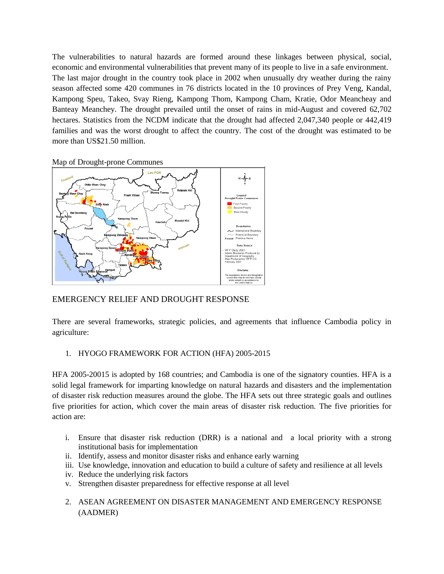The vulnerabilities to natural hazards are formed around these linkages between physical, social, economic and environmental vulnerabilities that prevent many of its people to live in a safe environment. The last major drought in the country took place in 2002 when unusually dry weather during the rainy season affected some 420 communes in 76 districts located in the 10 provinces of Prey Veng, Kandal, Kampong Speu, Takeo, Svay Rieng, Kampong Thom, Kampong Cham, Kratie, Odor Meancheay and Banteay Meanchey. The drought prevailed until the onset of rains in mid-August and covered 62,702 hectares. Statistics from the NCDM indicate that the drought had affected 2,047,340 people or 442,419 families and was the worst drought to affect the country. The cost of the drought was estimated to be more than US\$21.50 million.

Map of Drought-prone Communes



# EMERGENCY RELIEF AND DROUGHT RESPONSE

There are several frameworks, strategic policies, and agreements that influence Cambodia policy in agriculture:

### 1. HYOGO FRAMEWORK FOR ACTION (HFA) 2005-2015

HFA 2005-20015 is adopted by 168 countries; and Cambodia is one of the signatory counties. HFA is a solid legal framework for imparting knowledge on natural hazards and disasters and the implementation of disaster risk reduction measures around the globe. The HFA sets out three strategic goals and outlines five priorities for action, which cover the main areas of disaster risk reduction. The five priorities for action are:

- i. Ensure that disaster risk reduction (DRR) is a national and a local priority with a strong institutional basis for implementation
- ii. Identify, assess and monitor disaster risks and enhance early warning
- iii. Use knowledge, innovation and education to build a culture of safety and resilience at all levels
- iv. Reduce the underlying risk factors
- v. Strengthen disaster preparedness for effective response at all level
- 2. ASEAN AGREEMENT ON DISASTER MANAGEMENT AND EMERGENCY RESPONSE (AADMER)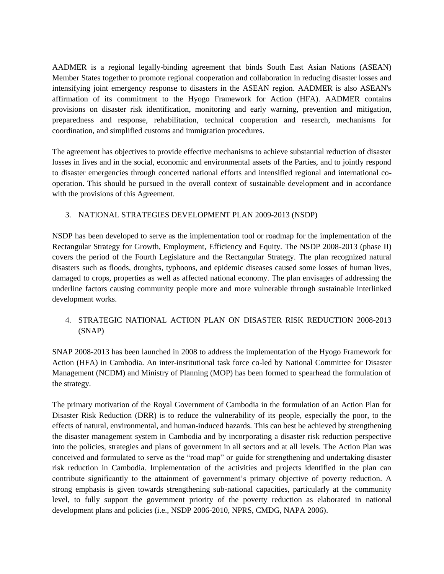AADMER is a regional legally-binding agreement that binds South East Asian Nations (ASEAN) Member States together to promote regional cooperation and collaboration in reducing disaster losses and intensifying joint emergency response to disasters in the ASEAN region. AADMER is also ASEAN's affirmation of its commitment to the Hyogo Framework for Action (HFA). AADMER contains provisions on disaster risk identification, monitoring and early warning, prevention and mitigation, preparedness and response, rehabilitation, technical cooperation and research, mechanisms for coordination, and simplified customs and immigration procedures.

The agreement has objectives to provide effective mechanisms to achieve substantial reduction of disaster losses in lives and in the social, economic and environmental assets of the Parties, and to jointly respond to disaster emergencies through concerted national efforts and intensified regional and international cooperation. This should be pursued in the overall context of sustainable development and in accordance with the provisions of this Agreement.

## 3. NATIONAL STRATEGIES DEVELOPMENT PLAN 2009-2013 (NSDP)

NSDP has been developed to serve as the implementation tool or roadmap for the implementation of the Rectangular Strategy for Growth, Employment, Efficiency and Equity. The NSDP 2008-2013 (phase II) covers the period of the Fourth Legislature and the Rectangular Strategy. The plan recognized natural disasters such as floods, droughts, typhoons, and epidemic diseases caused some losses of human lives, damaged to crops, properties as well as affected national economy. The plan envisages of addressing the underline factors causing community people more and more vulnerable through sustainable interlinked development works.

# 4. STRATEGIC NATIONAL ACTION PLAN ON DISASTER RISK REDUCTION 2008-2013 (SNAP)

SNAP 2008-2013 has been launched in 2008 to address the implementation of the Hyogo Framework for Action (HFA) in Cambodia. An inter-institutional task force co-led by National Committee for Disaster Management (NCDM) and Ministry of Planning (MOP) has been formed to spearhead the formulation of the strategy.

The primary motivation of the Royal Government of Cambodia in the formulation of an Action Plan for Disaster Risk Reduction (DRR) is to reduce the vulnerability of its people, especially the poor, to the effects of natural, environmental, and human-induced hazards. This can best be achieved by strengthening the disaster management system in Cambodia and by incorporating a disaster risk reduction perspective into the policies, strategies and plans of government in all sectors and at all levels. The Action Plan was conceived and formulated to serve as the "road map" or guide for strengthening and undertaking disaster risk reduction in Cambodia. Implementation of the activities and projects identified in the plan can contribute significantly to the attainment of government's primary objective of poverty reduction. A strong emphasis is given towards strengthening sub-national capacities, particularly at the community level, to fully support the government priority of the poverty reduction as elaborated in national development plans and policies (i.e., NSDP 2006-2010, NPRS, CMDG, NAPA 2006).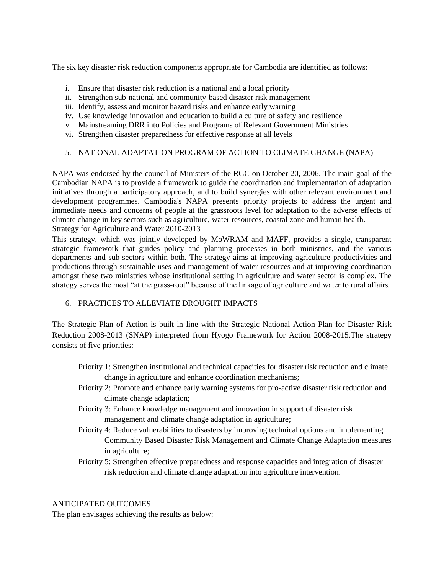The six key disaster risk reduction components appropriate for Cambodia are identified as follows:

- i. Ensure that disaster risk reduction is a national and a local priority
- ii. Strengthen sub-national and community-based disaster risk management
- iii. Identify, assess and monitor hazard risks and enhance early warning
- iv. Use knowledge innovation and education to build a culture of safety and resilience
- v. Mainstreaming DRR into Policies and Programs of Relevant Government Ministries
- vi. Strengthen disaster preparedness for effective response at all levels

### 5. NATIONAL ADAPTATION PROGRAM OF ACTION TO CLIMATE CHANGE (NAPA)

NAPA was endorsed by the council of Ministers of the RGC on October 20, 2006. The main goal of the Cambodian NAPA is to provide a framework to guide the coordination and implementation of adaptation initiatives through a participatory approach, and to build synergies with other relevant environment and development programmes. Cambodia's NAPA presents priority projects to address the urgent and immediate needs and concerns of people at the grassroots level for adaptation to the adverse effects of climate change in key sectors such as agriculture, water resources, coastal zone and human health. Strategy for Agriculture and Water 2010-2013

This strategy, which was jointly developed by MoWRAM and MAFF, provides a single, transparent strategic framework that guides policy and planning processes in both ministries, and the various departments and sub-sectors within both. The strategy aims at improving agriculture productivities and productions through sustainable uses and management of water resources and at improving coordination amongst these two ministries whose institutional setting in agriculture and water sector is complex. The strategy serves the most "at the grass-root" because of the linkage of agriculture and water to rural affairs.

## 6. PRACTICES TO ALLEVIATE DROUGHT IMPACTS

The Strategic Plan of Action is built in line with the Strategic National Action Plan for Disaster Risk Reduction 2008-2013 (SNAP) interpreted from Hyogo Framework for Action 2008-2015.The strategy consists of five priorities:

- Priority 1: Strengthen institutional and technical capacities for disaster risk reduction and climate change in agriculture and enhance coordination mechanisms;
- Priority 2: Promote and enhance early warning systems for pro-active disaster risk reduction and climate change adaptation;
- Priority 3: Enhance knowledge management and innovation in support of disaster risk management and climate change adaptation in agriculture;
- Priority 4: Reduce vulnerabilities to disasters by improving technical options and implementing Community Based Disaster Risk Management and Climate Change Adaptation measures in agriculture;
- Priority 5: Strengthen effective preparedness and response capacities and integration of disaster risk reduction and climate change adaptation into agriculture intervention.

### ANTICIPATED OUTCOMES

The plan envisages achieving the results as below: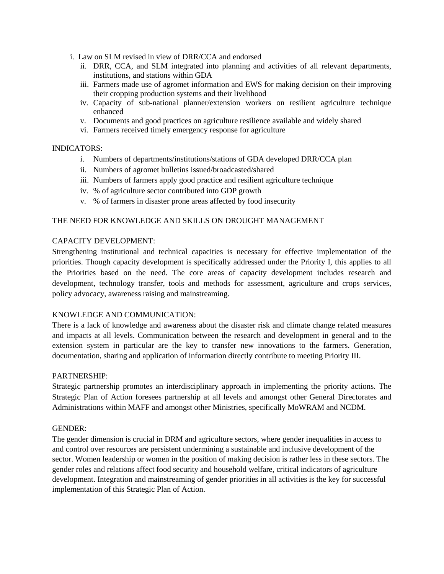- i. Law on SLM revised in view of DRR/CCA and endorsed
	- ii. DRR, CCA, and SLM integrated into planning and activities of all relevant departments, institutions, and stations within GDA
	- iii. Farmers made use of agromet information and EWS for making decision on their improving their cropping production systems and their livelihood
	- iv. Capacity of sub-national planner/extension workers on resilient agriculture technique enhanced
	- v. Documents and good practices on agriculture resilience available and widely shared
	- vi. Farmers received timely emergency response for agriculture

### INDICATORS:

- i. Numbers of departments/institutions/stations of GDA developed DRR/CCA plan
- ii. Numbers of agromet bulletins issued/broadcasted/shared
- iii. Numbers of farmers apply good practice and resilient agriculture technique
- iv. % of agriculture sector contributed into GDP growth
- v. % of farmers in disaster prone areas affected by food insecurity

#### THE NEED FOR KNOWLEDGE AND SKILLS ON DROUGHT MANAGEMENT

### CAPACITY DEVELOPMENT:

Strengthening institutional and technical capacities is necessary for effective implementation of the priorities. Though capacity development is specifically addressed under the Priority I, this applies to all the Priorities based on the need. The core areas of capacity development includes research and development, technology transfer, tools and methods for assessment, agriculture and crops services, policy advocacy, awareness raising and mainstreaming.

#### KNOWLEDGE AND COMMUNICATION:

There is a lack of knowledge and awareness about the disaster risk and climate change related measures and impacts at all levels. Communication between the research and development in general and to the extension system in particular are the key to transfer new innovations to the farmers. Generation, documentation, sharing and application of information directly contribute to meeting Priority III.

#### PARTNERSHIP:

Strategic partnership promotes an interdisciplinary approach in implementing the priority actions. The Strategic Plan of Action foresees partnership at all levels and amongst other General Directorates and Administrations within MAFF and amongst other Ministries, specifically MoWRAM and NCDM.

#### GENDER:

The gender dimension is crucial in DRM and agriculture sectors, where gender inequalities in access to and control over resources are persistent undermining a sustainable and inclusive development of the sector. Women leadership or women in the position of making decision is rather less in these sectors. The gender roles and relations affect food security and household welfare, critical indicators of agriculture development. Integration and mainstreaming of gender priorities in all activities is the key for successful implementation of this Strategic Plan of Action.